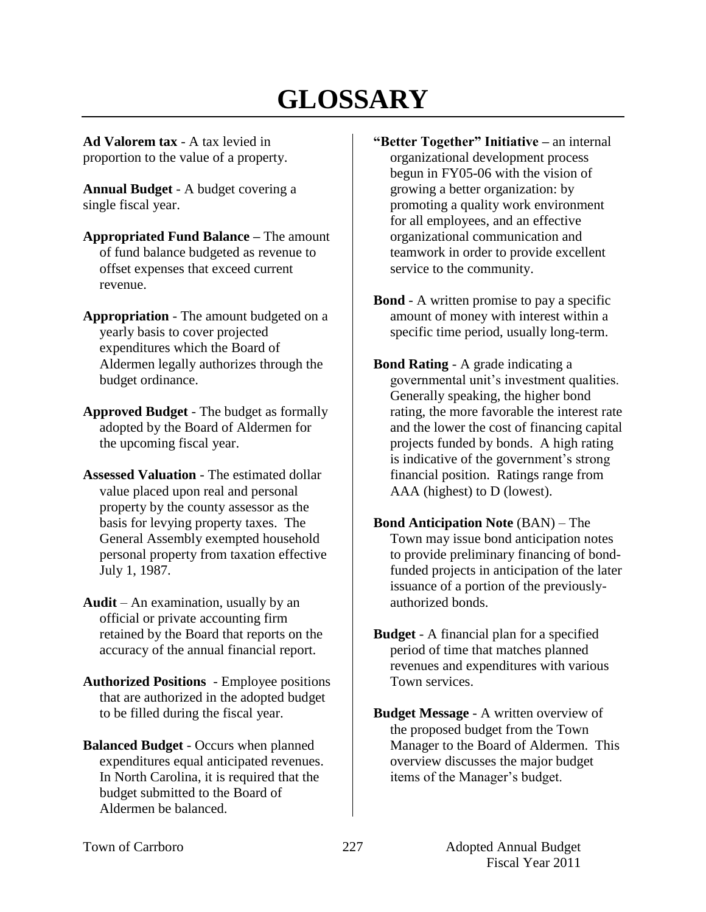# **GLOSSARY**

**Ad Valorem tax** - A tax levied in proportion to the value of a property.

**Annual Budget** - A budget covering a single fiscal year.

- **Appropriated Fund Balance –** The amount of fund balance budgeted as revenue to offset expenses that exceed current revenue.
- **Appropriation** The amount budgeted on a yearly basis to cover projected expenditures which the Board of Aldermen legally authorizes through the budget ordinance.
- **Approved Budget** The budget as formally adopted by the Board of Aldermen for the upcoming fiscal year.
- **Assessed Valuation** The estimated dollar value placed upon real and personal property by the county assessor as the basis for levying property taxes. The General Assembly exempted household personal property from taxation effective July 1, 1987.
- **Audit** An examination, usually by an official or private accounting firm retained by the Board that reports on the accuracy of the annual financial report.
- **Authorized Positions**  Employee positions that are authorized in the adopted budget to be filled during the fiscal year.
- **Balanced Budget** Occurs when planned expenditures equal anticipated revenues. In North Carolina, it is required that the budget submitted to the Board of Aldermen be balanced.
- **"Better Together" Initiative –** an internal organizational development process begun in FY05-06 with the vision of growing a better organization: by promoting a quality work environment for all employees, and an effective organizational communication and teamwork in order to provide excellent service to the community.
- **Bond** A written promise to pay a specific amount of money with interest within a specific time period, usually long-term.
- **Bond Rating** A grade indicating a governmental unit's investment qualities. Generally speaking, the higher bond rating, the more favorable the interest rate and the lower the cost of financing capital projects funded by bonds. A high rating is indicative of the government's strong financial position. Ratings range from AAA (highest) to D (lowest).
- **Bond Anticipation Note** (BAN) The Town may issue bond anticipation notes to provide preliminary financing of bondfunded projects in anticipation of the later issuance of a portion of the previouslyauthorized bonds.
- **Budget**  A financial plan for a specified period of time that matches planned revenues and expenditures with various Town services.
- **Budget Message** A written overview of the proposed budget from the Town Manager to the Board of Aldermen. This overview discusses the major budget items of the Manager's budget.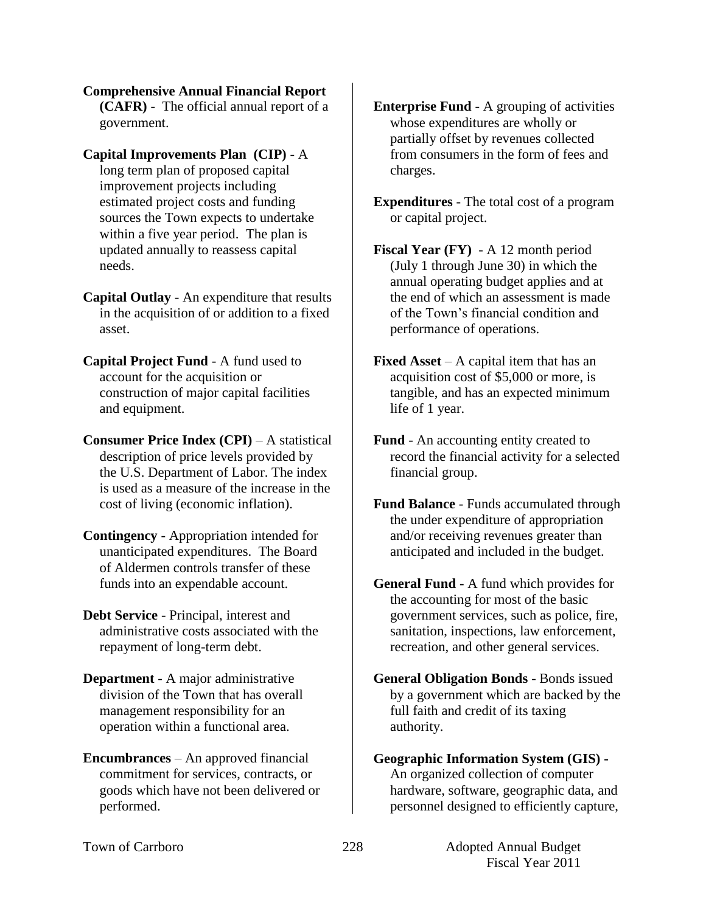**Comprehensive Annual Financial Report (CAFR)** - The official annual report of a government.

- **Capital Improvements Plan (CIP)** A long term plan of proposed capital improvement projects including estimated project costs and funding sources the Town expects to undertake within a five year period. The plan is updated annually to reassess capital needs.
- **Capital Outlay** An expenditure that results in the acquisition of or addition to a fixed asset.
- **Capital Project Fund** A fund used to account for the acquisition or construction of major capital facilities and equipment.
- **Consumer Price Index (CPI)** A statistical description of price levels provided by the U.S. Department of Labor. The index is used as a measure of the increase in the cost of living (economic inflation).
- **Contingency**  Appropriation intended for unanticipated expenditures. The Board of Aldermen controls transfer of these funds into an expendable account.
- **Debt Service** Principal, interest and administrative costs associated with the repayment of long-term debt.
- **Department**  A major administrative division of the Town that has overall management responsibility for an operation within a functional area.
- **Encumbrances**  An approved financial commitment for services, contracts, or goods which have not been delivered or performed.
- **Enterprise Fund** A grouping of activities whose expenditures are wholly or partially offset by revenues collected from consumers in the form of fees and charges.
- **Expenditures** The total cost of a program or capital project.
- **Fiscal Year (FY)**  A 12 month period (July 1 through June 30) in which the annual operating budget applies and at the end of which an assessment is made of the Town's financial condition and performance of operations.
- **Fixed Asset** A capital item that has an acquisition cost of \$5,000 or more, is tangible, and has an expected minimum life of 1 year.
- **Fund** An accounting entity created to record the financial activity for a selected financial group.
- **Fund Balance** Funds accumulated through the under expenditure of appropriation and/or receiving revenues greater than anticipated and included in the budget.
- **General Fund** A fund which provides for the accounting for most of the basic government services, such as police, fire, sanitation, inspections, law enforcement, recreation, and other general services.
- **General Obligation Bonds** Bonds issued by a government which are backed by the full faith and credit of its taxing authority.

## **Geographic Information System (GIS) -** An organized collection of computer hardware, software, geographic data, and personnel designed to efficiently capture,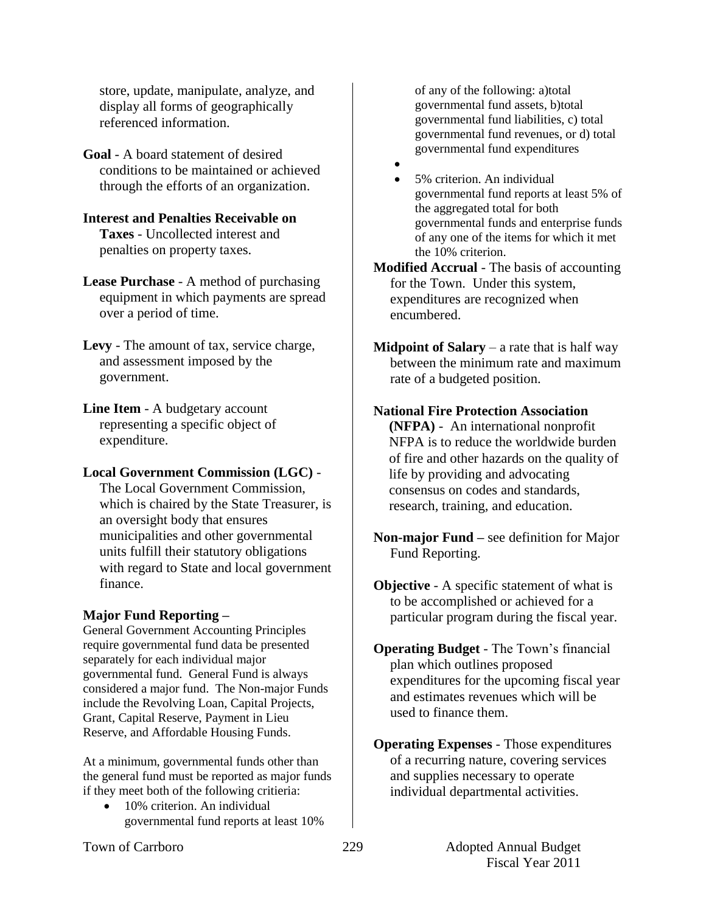store, update, manipulate, analyze, and display all forms of geographically referenced information.

**Goal** - A board statement of desired conditions to be maintained or achieved through the efforts of an organization.

#### **Interest and Penalties Receivable on Taxes** - Uncollected interest and penalties on property taxes.

**Lease Purchase** - A method of purchasing equipment in which payments are spread over a period of time.

**Levy** - The amount of tax, service charge, and assessment imposed by the government.

**Line Item** - A budgetary account representing a specific object of expenditure.

## **Local Government Commission (LGC)** -

The Local Government Commission, which is chaired by the State Treasurer, is an oversight body that ensures municipalities and other governmental units fulfill their statutory obligations with regard to State and local government finance.

# **Major Fund Reporting –**

General Government Accounting Principles require governmental fund data be presented separately for each individual major governmental fund. General Fund is always considered a major fund. The Non-major Funds include the Revolving Loan, Capital Projects, Grant, Capital Reserve, Payment in Lieu Reserve, and Affordable Housing Funds.

At a minimum, governmental funds other than the general fund must be reported as major funds if they meet both of the following critieria:

 10% criterion. An individual governmental fund reports at least 10% of any of the following: a)total governmental fund assets, b)total governmental fund liabilities, c) total governmental fund revenues, or d) total governmental fund expenditures

 $\bullet$  5% criterion. An individual governmental fund reports at least 5% of the aggregated total for both governmental funds and enterprise funds of any one of the items for which it met the 10% criterion.

**Modified Accrual** - The basis of accounting for the Town. Under this system, expenditures are recognized when encumbered.

**Midpoint of Salary** – a rate that is half way between the minimum rate and maximum rate of a budgeted position.

# **National Fire Protection Association**

**(NFPA)** - An international nonprofit NFPA is to reduce the worldwide burden of fire and other hazards on the quality of life by providing and advocating consensus on codes and standards, research, training, and education.

- **Non-major Fund –** see definition for Major Fund Reporting.
- **Objective** A specific statement of what is to be accomplished or achieved for a particular program during the fiscal year.
- **Operating Budget** The Town's financial plan which outlines proposed expenditures for the upcoming fiscal year and estimates revenues which will be used to finance them.

**Operating Expenses** - Those expenditures of a recurring nature, covering services and supplies necessary to operate individual departmental activities.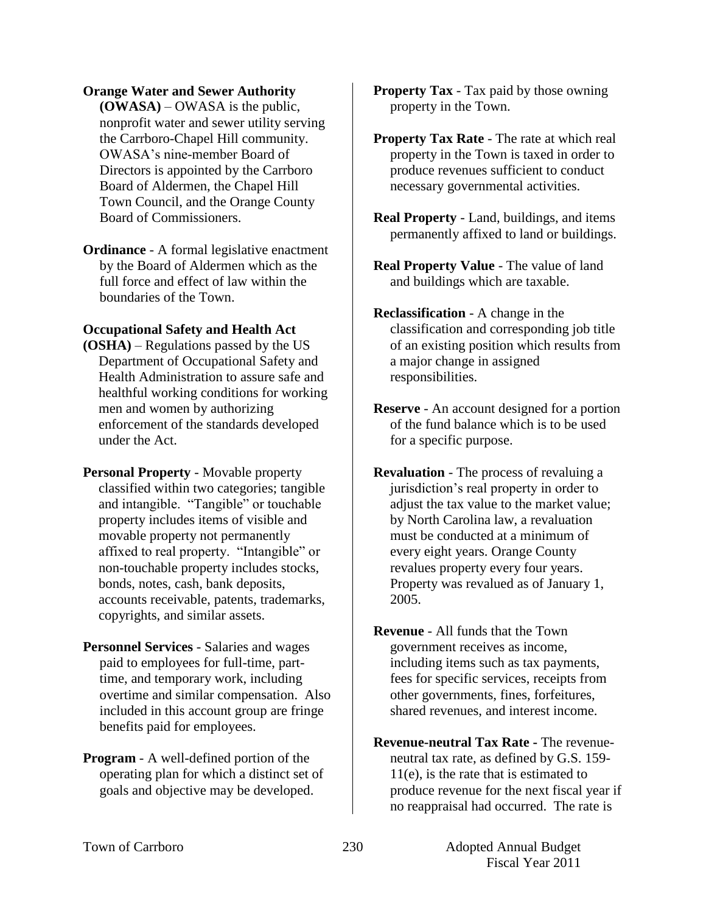#### **Orange Water and Sewer Authority**

**(OWASA)** – OWASA is the public, nonprofit water and sewer utility serving the Carrboro-Chapel Hill community. OWASA's nine-member Board of Directors is appointed by the Carrboro Board of Aldermen, the Chapel Hill Town Council, and the Orange County Board of Commissioners.

**Ordinance** - A formal legislative enactment by the Board of Aldermen which as the full force and effect of law within the boundaries of the Town.

### **Occupational Safety and Health Act**

**(OSHA)** – Regulations passed by the US Department of Occupational Safety and Health Administration to assure safe and healthful working conditions for working men and women by authorizing enforcement of the standards developed under the Act.

**Personal Property** - Movable property classified within two categories; tangible and intangible. "Tangible" or touchable property includes items of visible and movable property not permanently affixed to real property. "Intangible" or non-touchable property includes stocks, bonds, notes, cash, bank deposits, accounts receivable, patents, trademarks, copyrights, and similar assets.

- **Personnel Services** Salaries and wages paid to employees for full-time, parttime, and temporary work, including overtime and similar compensation. Also included in this account group are fringe benefits paid for employees.
- **Program** A well-defined portion of the operating plan for which a distinct set of goals and objective may be developed.

**Property Tax** - Tax paid by those owning property in the Town.

**Property Tax Rate** - The rate at which real property in the Town is taxed in order to produce revenues sufficient to conduct necessary governmental activities.

- **Real Property** Land, buildings, and items permanently affixed to land or buildings.
- **Real Property Value** The value of land and buildings which are taxable.
- **Reclassification** A change in the classification and corresponding job title of an existing position which results from a major change in assigned responsibilities.
- **Reserve** An account designed for a portion of the fund balance which is to be used for a specific purpose.

**Revaluation** - The process of revaluing a jurisdiction's real property in order to adjust the tax value to the market value; by North Carolina law, a revaluation must be conducted at a minimum of every eight years. Orange County revalues property every four years. Property was revalued as of January 1, 2005.

**Revenue** - All funds that the Town government receives as income, including items such as tax payments, fees for specific services, receipts from other governments, fines, forfeitures, shared revenues, and interest income.

**Revenue-neutral Tax Rate -** The revenueneutral tax rate, as defined by G.S. 159- 11(e), is the rate that is estimated to produce revenue for the next fiscal year if no reappraisal had occurred. The rate is